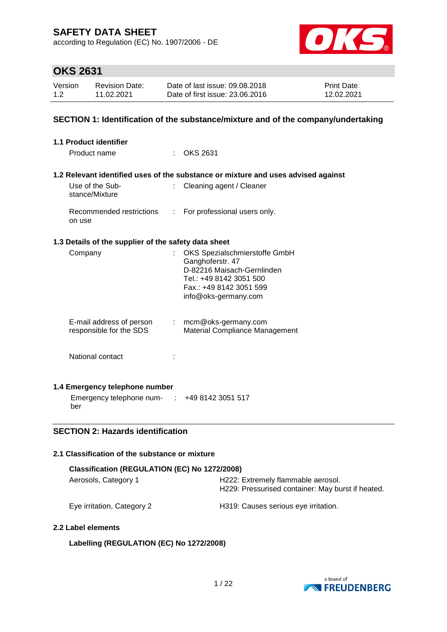according to Regulation (EC) No. 1907/2006 - DE



## **OKS 2631**

| Version | <b>Revision Date:</b> | Date of last issue: 09.08.2018  | <b>Print Date:</b> |
|---------|-----------------------|---------------------------------|--------------------|
| 1.2     | 11.02.2021            | Date of first issue: 23,06,2016 | 12.02.2021         |

### **SECTION 1: Identification of the substance/mixture and of the company/undertaking**

| 1.1 Product identifier                                            |    |                                                                                                                                                               |
|-------------------------------------------------------------------|----|---------------------------------------------------------------------------------------------------------------------------------------------------------------|
| Product name                                                      |    | <b>OKS 2631</b>                                                                                                                                               |
|                                                                   |    | 1.2 Relevant identified uses of the substance or mixture and uses advised against                                                                             |
| Use of the Sub-<br>stance/Mixture                                 | t. | Cleaning agent / Cleaner                                                                                                                                      |
| Recommended restrictions : For professional users only.<br>on use |    |                                                                                                                                                               |
| 1.3 Details of the supplier of the safety data sheet              |    |                                                                                                                                                               |
| Company                                                           | t. | OKS Spezialschmierstoffe GmbH<br>Ganghoferstr. 47<br>D-82216 Maisach-Gernlinden<br>Tel.: +49 8142 3051 500<br>Fax.: +49 8142 3051 599<br>info@oks-germany.com |
| E-mail address of person<br>responsible for the SDS               |    | $:$ mcm@oks-germany.com<br>Material Compliance Management                                                                                                     |
| National contact                                                  |    |                                                                                                                                                               |
| 1.4 Emergency telephone number                                    |    |                                                                                                                                                               |
| Emergency telephone num- : +49 8142 3051 517<br>ber               |    |                                                                                                                                                               |

## **SECTION 2: Hazards identification**

### **2.1 Classification of the substance or mixture**

| Classification (REGULATION (EC) No 1272/2008) |                                                                                         |  |  |  |  |
|-----------------------------------------------|-----------------------------------------------------------------------------------------|--|--|--|--|
| Aerosols, Category 1                          | H222: Extremely flammable aerosol.<br>H229: Pressurised container: May burst if heated. |  |  |  |  |
| Eye irritation, Category 2                    | H319: Causes serious eye irritation.                                                    |  |  |  |  |

### **2.2 Label elements**

## **Labelling (REGULATION (EC) No 1272/2008)**

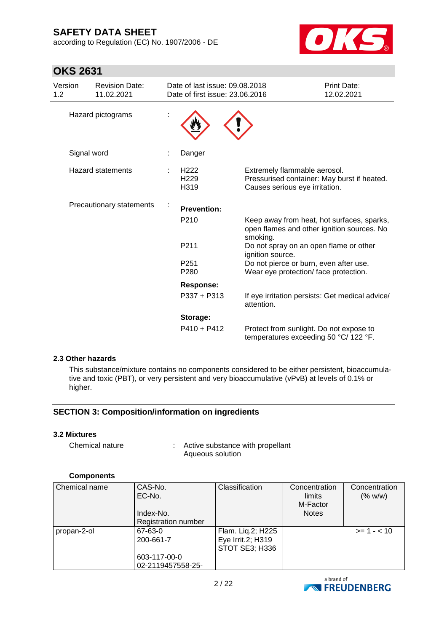according to Regulation (EC) No. 1907/2006 - DE



## **OKS 2631**

| Version<br>1.2 | <b>Revision Date:</b><br>11.02.2021 | Date of last issue: 09.08.2018<br>Date of first issue: 23.06.2016 |                                                                                  | Print Date:<br>12.02.2021                                                                |
|----------------|-------------------------------------|-------------------------------------------------------------------|----------------------------------------------------------------------------------|------------------------------------------------------------------------------------------|
|                | Hazard pictograms                   |                                                                   |                                                                                  |                                                                                          |
|                | Signal word                         | Danger                                                            |                                                                                  |                                                                                          |
|                | <b>Hazard statements</b>            | H <sub>222</sub><br>H <sub>229</sub><br>H <sub>319</sub>          | Extremely flammable aerosol.<br>Causes serious eye irritation.                   | Pressurised container: May burst if heated.                                              |
|                | Precautionary statements            | <b>Prevention:</b>                                                |                                                                                  |                                                                                          |
|                |                                     | P <sub>210</sub>                                                  | smoking.                                                                         | Keep away from heat, hot surfaces, sparks,<br>open flames and other ignition sources. No |
|                |                                     | P211                                                              | Do not spray on an open flame or other<br>ignition source.                       |                                                                                          |
|                |                                     | P <sub>251</sub><br>P <sub>280</sub>                              | Do not pierce or burn, even after use.<br>Wear eye protection/face protection.   |                                                                                          |
|                |                                     | <b>Response:</b>                                                  |                                                                                  |                                                                                          |
|                |                                     | $P337 + P313$                                                     | attention.                                                                       | If eye irritation persists: Get medical advice/                                          |
|                |                                     | Storage:                                                          |                                                                                  |                                                                                          |
|                |                                     | $P410 + P412$                                                     | Protect from sunlight. Do not expose to<br>temperatures exceeding 50 °C/ 122 °F. |                                                                                          |

### **2.3 Other hazards**

This substance/mixture contains no components considered to be either persistent, bioaccumulative and toxic (PBT), or very persistent and very bioaccumulative (vPvB) at levels of 0.1% or higher.

## **SECTION 3: Composition/information on ingredients**

#### **3.2 Mixtures**

Chemical nature : Active substance with propellant Aqueous solution

#### **Components**

| Chemical name | CAS-No.                    | Classification    | Concentration | Concentration |
|---------------|----------------------------|-------------------|---------------|---------------|
|               | EC-No.                     |                   | limits        | (% w/w)       |
|               |                            |                   | M-Factor      |               |
|               | Index-No.                  |                   | <b>Notes</b>  |               |
|               | <b>Registration number</b> |                   |               |               |
| propan-2-ol   | 67-63-0                    | Flam. Liq.2; H225 |               | $>= 1 - < 10$ |
|               | 200-661-7                  | Eye Irrit.2; H319 |               |               |
|               |                            | STOT SE3; H336    |               |               |
|               | 603-117-00-0               |                   |               |               |
|               | 02-2119457558-25-          |                   |               |               |

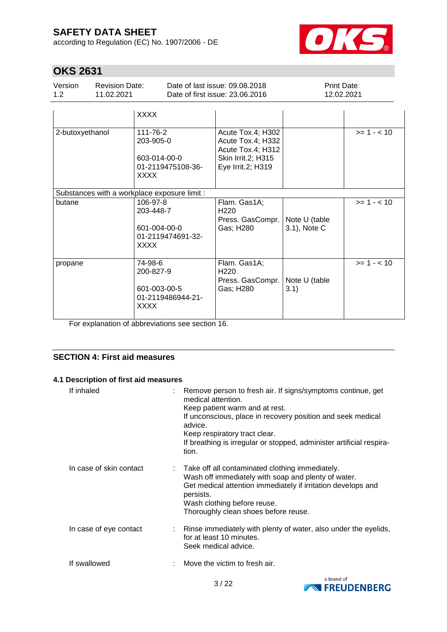according to Regulation (EC) No. 1907/2006 - DE



# **OKS 2631**

| Version | <b>Revision Date:</b> | Date of last issue: 09.08.2018  | <b>Print Date:</b> |
|---------|-----------------------|---------------------------------|--------------------|
| 1.2     | 11.02.2021            | Date of first issue: 23.06.2016 | 12.02.2021         |

|                                              | <b>XXXX</b>                                                               |                                                                                                        |                               |               |
|----------------------------------------------|---------------------------------------------------------------------------|--------------------------------------------------------------------------------------------------------|-------------------------------|---------------|
| 2-butoxyethanol                              | 111-76-2<br>203-905-0<br>603-014-00-0<br>01-2119475108-36-<br><b>XXXX</b> | Acute Tox.4; H302<br>Acute Tox.4; H332<br>Acute Tox.4; H312<br>Skin Irrit.2; H315<br>Eye Irrit.2; H319 |                               | $>= 1 - < 10$ |
| Substances with a workplace exposure limit : |                                                                           |                                                                                                        |                               |               |
| butane                                       | 106-97-8<br>203-448-7<br>601-004-00-0<br>01-2119474691-32-<br><b>XXXX</b> | Flam. Gas1A;<br>H <sub>220</sub><br>Press. GasCompr.<br>Gas; H280                                      | Note U (table<br>3.1), Note C | $>= 1 - < 10$ |
| propane                                      | 74-98-6<br>200-827-9<br>601-003-00-5<br>01-2119486944-21-<br><b>XXXX</b>  | Flam. Gas1A;<br>H <sub>220</sub><br>Press. GasCompr.<br>Gas; H280                                      | Note U (table<br>3.1)         | $>= 1 - 10$   |

For explanation of abbreviations see section 16.

## **SECTION 4: First aid measures**

### **4.1 Description of first aid measures**

| If inhaled              | Remove person to fresh air. If signs/symptoms continue, get<br>medical attention.<br>Keep patient warm and at rest.<br>If unconscious, place in recovery position and seek medical<br>advice.<br>Keep respiratory tract clear.<br>If breathing is irregular or stopped, administer artificial respira-<br>tion. |
|-------------------------|-----------------------------------------------------------------------------------------------------------------------------------------------------------------------------------------------------------------------------------------------------------------------------------------------------------------|
| In case of skin contact | : Take off all contaminated clothing immediately.<br>Wash off immediately with soap and plenty of water.<br>Get medical attention immediately if irritation develops and<br>persists.<br>Wash clothing before reuse.<br>Thoroughly clean shoes before reuse.                                                    |
| In case of eye contact  | : Rinse immediately with plenty of water, also under the eyelids,<br>for at least 10 minutes.<br>Seek medical advice.                                                                                                                                                                                           |
| If swallowed            | Move the victim to fresh air.                                                                                                                                                                                                                                                                                   |

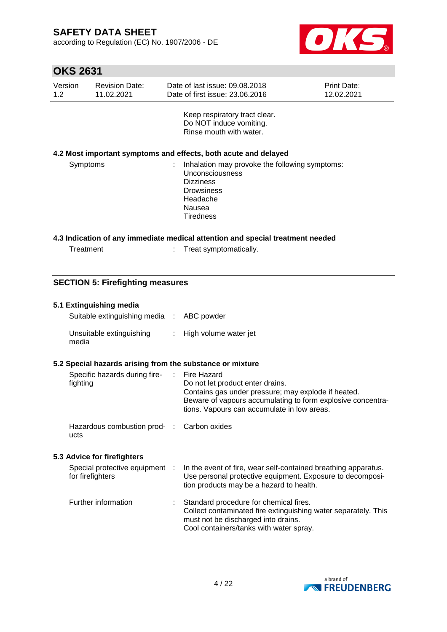according to Regulation (EC) No. 1907/2006 - DE



| <b>OKS 2631</b>                                                                                                                                                  |                                                           |                                     |                        |                                                                                                                                                                                                                             |                           |  |
|------------------------------------------------------------------------------------------------------------------------------------------------------------------|-----------------------------------------------------------|-------------------------------------|------------------------|-----------------------------------------------------------------------------------------------------------------------------------------------------------------------------------------------------------------------------|---------------------------|--|
| Version<br>1.2                                                                                                                                                   |                                                           | <b>Revision Date:</b><br>11.02.2021 |                        | Date of last issue: 09.08.2018<br>Date of first issue: 23.06.2016                                                                                                                                                           | Print Date:<br>12.02.2021 |  |
|                                                                                                                                                                  |                                                           |                                     |                        | Keep respiratory tract clear.<br>Do NOT induce vomiting.<br>Rinse mouth with water.                                                                                                                                         |                           |  |
|                                                                                                                                                                  |                                                           |                                     |                        | 4.2 Most important symptoms and effects, both acute and delayed                                                                                                                                                             |                           |  |
| Symptoms<br>Inhalation may provoke the following symptoms:<br>Unconsciousness<br><b>Dizziness</b><br><b>Drowsiness</b><br>Headache<br>Nausea<br><b>Tiredness</b> |                                                           |                                     |                        |                                                                                                                                                                                                                             |                           |  |
|                                                                                                                                                                  |                                                           |                                     |                        | 4.3 Indication of any immediate medical attention and special treatment needed                                                                                                                                              |                           |  |
| Treatment                                                                                                                                                        |                                                           |                                     | Treat symptomatically. |                                                                                                                                                                                                                             |                           |  |
|                                                                                                                                                                  |                                                           |                                     |                        |                                                                                                                                                                                                                             |                           |  |
|                                                                                                                                                                  | <b>SECTION 5: Firefighting measures</b>                   |                                     |                        |                                                                                                                                                                                                                             |                           |  |
|                                                                                                                                                                  |                                                           | 5.1 Extinguishing media             |                        |                                                                                                                                                                                                                             |                           |  |
|                                                                                                                                                                  |                                                           | Suitable extinguishing media :      |                        | ABC powder                                                                                                                                                                                                                  |                           |  |
|                                                                                                                                                                  | media                                                     | Unsuitable extinguishing            | ÷                      | High volume water jet                                                                                                                                                                                                       |                           |  |
|                                                                                                                                                                  | 5.2 Special hazards arising from the substance or mixture |                                     |                        |                                                                                                                                                                                                                             |                           |  |
|                                                                                                                                                                  | fighting                                                  | Specific hazards during fire-       |                        | <b>Fire Hazard</b><br>Do not let product enter drains.<br>Contains gas under pressure; may explode if heated.<br>Beware of vapours accumulating to form explosive concentra-<br>tions. Vapours can accumulate in low areas. |                           |  |
|                                                                                                                                                                  | ucts                                                      | Hazardous combustion prod-          | $\mathbb{R}^n$         | Carbon oxides                                                                                                                                                                                                               |                           |  |

## **5.3 Advice for firefighters**

| Special protective equipment :<br>for firefighters | In the event of fire, wear self-contained breathing apparatus.<br>Use personal protective equipment. Exposure to decomposi-<br>tion products may be a hazard to health.                      |
|----------------------------------------------------|----------------------------------------------------------------------------------------------------------------------------------------------------------------------------------------------|
| Further information                                | : Standard procedure for chemical fires.<br>Collect contaminated fire extinguishing water separately. This<br>must not be discharged into drains.<br>Cool containers/tanks with water spray. |

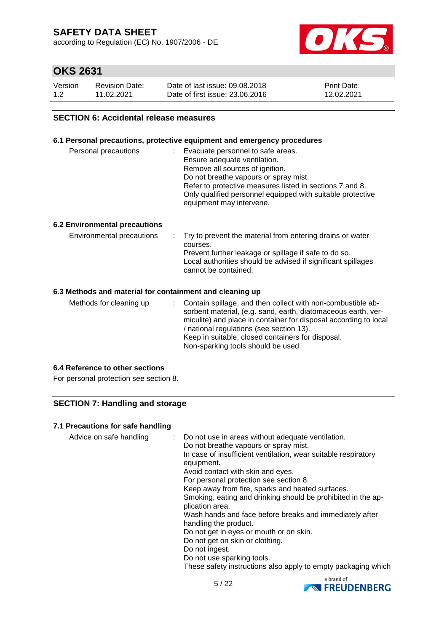according to Regulation (EC) No. 1907/2006 - DE



## **OKS 2631**

| Version | Revision Date: | Date of last issue: 09.08.2018  | <b>Print Date:</b> |
|---------|----------------|---------------------------------|--------------------|
| 1.2     | 11.02.2021     | Date of first issue: 23,06,2016 | 12.02.2021         |

### **SECTION 6: Accidental release measures**

#### **6.1 Personal precautions, protective equipment and emergency procedures**

| equipment may intervene. | Personal precautions | Evacuate personnel to safe areas.<br>Ensure adequate ventilation.<br>Remove all sources of ignition.<br>Do not breathe vapours or spray mist.<br>Refer to protective measures listed in sections 7 and 8.<br>Only qualified personnel equipped with suitable protective |
|--------------------------|----------------------|-------------------------------------------------------------------------------------------------------------------------------------------------------------------------------------------------------------------------------------------------------------------------|
|--------------------------|----------------------|-------------------------------------------------------------------------------------------------------------------------------------------------------------------------------------------------------------------------------------------------------------------------|

#### **6.2 Environmental precautions**

| Environmental precautions | . Try to prevent the material from entering drains or water<br>courses.<br>Prevent further leakage or spillage if safe to do so.<br>Local authorities should be advised if significant spillages<br>cannot be contained. |
|---------------------------|--------------------------------------------------------------------------------------------------------------------------------------------------------------------------------------------------------------------------|
|---------------------------|--------------------------------------------------------------------------------------------------------------------------------------------------------------------------------------------------------------------------|

### **6.3 Methods and material for containment and cleaning up**

| Methods for cleaning up |  | : Contain spillage, and then collect with non-combustible ab-<br>sorbent material, (e.g. sand, earth, diatomaceous earth, ver-<br>miculite) and place in container for disposal according to local<br>/ national regulations (see section 13).<br>Keep in suitable, closed containers for disposal.<br>Non-sparking tools should be used. |
|-------------------------|--|-------------------------------------------------------------------------------------------------------------------------------------------------------------------------------------------------------------------------------------------------------------------------------------------------------------------------------------------|
|-------------------------|--|-------------------------------------------------------------------------------------------------------------------------------------------------------------------------------------------------------------------------------------------------------------------------------------------------------------------------------------------|

### **6.4 Reference to other sections**

For personal protection see section 8.

## **SECTION 7: Handling and storage**

#### **7.1 Precautions for safe handling**

| Advice on safe handling |  | : Do not use in areas without adequate ventilation.<br>Do not breathe vapours or spray mist.<br>In case of insufficient ventilation, wear suitable respiratory<br>equipment.<br>Avoid contact with skin and eyes.<br>For personal protection see section 8.<br>Keep away from fire, sparks and heated surfaces.<br>Smoking, eating and drinking should be prohibited in the ap-<br>plication area.<br>Wash hands and face before breaks and immediately after<br>handling the product.<br>Do not get in eyes or mouth or on skin.<br>Do not get on skin or clothing.<br>Do not ingest.<br>Do not use sparking tools.<br>These safety instructions also apply to empty packaging which |
|-------------------------|--|---------------------------------------------------------------------------------------------------------------------------------------------------------------------------------------------------------------------------------------------------------------------------------------------------------------------------------------------------------------------------------------------------------------------------------------------------------------------------------------------------------------------------------------------------------------------------------------------------------------------------------------------------------------------------------------|
|-------------------------|--|---------------------------------------------------------------------------------------------------------------------------------------------------------------------------------------------------------------------------------------------------------------------------------------------------------------------------------------------------------------------------------------------------------------------------------------------------------------------------------------------------------------------------------------------------------------------------------------------------------------------------------------------------------------------------------------|

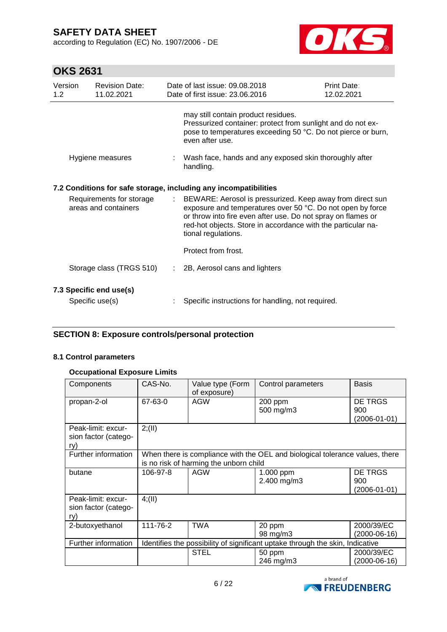according to Regulation (EC) No. 1907/2006 - DE



# **OKS 2631**

| Version<br>1.2 | <b>Revision Date:</b><br>11.02.2021                                                                                                                                                                                                                                                                                                  |  | Date of last issue: 09.08.2018<br>Date of first issue: 23.06.2016                                                                                                                     | Print Date:<br>12.02.2021 |
|----------------|--------------------------------------------------------------------------------------------------------------------------------------------------------------------------------------------------------------------------------------------------------------------------------------------------------------------------------------|--|---------------------------------------------------------------------------------------------------------------------------------------------------------------------------------------|---------------------------|
|                |                                                                                                                                                                                                                                                                                                                                      |  | may still contain product residues.<br>Pressurized container: protect from sunlight and do not ex-<br>pose to temperatures exceeding 50 °C. Do not pierce or burn,<br>even after use. |                           |
|                | Hygiene measures                                                                                                                                                                                                                                                                                                                     |  | Wash face, hands and any exposed skin thoroughly after<br>handling.                                                                                                                   |                           |
|                |                                                                                                                                                                                                                                                                                                                                      |  | 7.2 Conditions for safe storage, including any incompatibilities                                                                                                                      |                           |
|                | Requirements for storage<br>: BEWARE: Aerosol is pressurized. Keep away from direct sun<br>areas and containers<br>exposure and temperatures over 50 °C. Do not open by force<br>or throw into fire even after use. Do not spray on flames or<br>red-hot objects. Store in accordance with the particular na-<br>tional regulations. |  |                                                                                                                                                                                       |                           |
|                |                                                                                                                                                                                                                                                                                                                                      |  | Protect from frost.                                                                                                                                                                   |                           |
|                | Storage class (TRGS 510)                                                                                                                                                                                                                                                                                                             |  | : 2B, Aerosol cans and lighters                                                                                                                                                       |                           |
|                | 7.3 Specific end use(s)                                                                                                                                                                                                                                                                                                              |  |                                                                                                                                                                                       |                           |
|                | Specific use(s)                                                                                                                                                                                                                                                                                                                      |  | Specific instructions for handling, not required.                                                                                                                                     |                           |

## **SECTION 8: Exposure controls/personal protection**

#### **8.1 Control parameters**

#### **Occupational Exposure Limits**

| Components                                        | CAS-No.                                                                       | Value type (Form<br>of exposure)       | Control parameters                                                           | <b>Basis</b>                   |
|---------------------------------------------------|-------------------------------------------------------------------------------|----------------------------------------|------------------------------------------------------------------------------|--------------------------------|
| propan-2-ol                                       | 67-63-0                                                                       | AGW                                    | 200 ppm<br>500 mg/m3                                                         | DE TRGS<br>900<br>(2006-01-01) |
| Peak-limit: excur-<br>sion factor (catego-<br>rv) | 2; (II)                                                                       |                                        |                                                                              |                                |
| Further information                               |                                                                               | is no risk of harming the unborn child | When there is compliance with the OEL and biological tolerance values, there |                                |
| butane                                            | 106-97-8                                                                      | AGW                                    | 1.000 ppm<br>2.400 mg/m3                                                     | DE TRGS<br>900<br>(2006-01-01) |
| Peak-limit: excur-<br>sion factor (catego-<br>ry) | 4(11)                                                                         |                                        |                                                                              |                                |
| 2-butoxyethanol                                   | 111-76-2                                                                      | <b>TWA</b>                             | 20 ppm<br>98 mg/m3                                                           | 2000/39/EC<br>$(2000-06-16)$   |
| Further information                               | Identifies the possibility of significant uptake through the skin, Indicative |                                        |                                                                              |                                |
|                                                   |                                                                               | <b>STEL</b>                            | 50 ppm<br>246 mg/m3                                                          | 2000/39/EC<br>(2000-06-16)     |

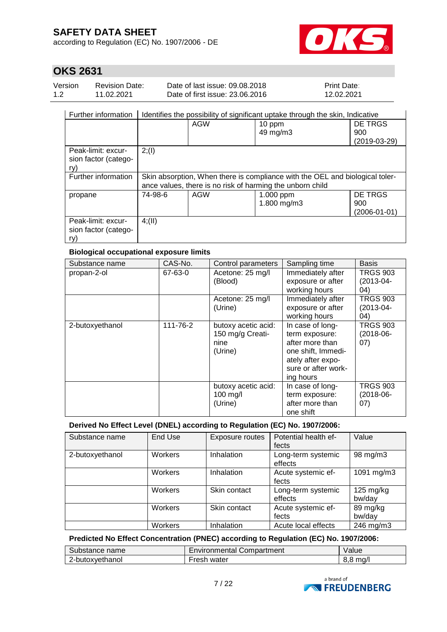according to Regulation (EC) No. 1907/2006 - DE



# **OKS 2631**

| Version | <b>Revision Date:</b> | Date of last issue: 09.08.2018  | <b>Print Date:</b> |
|---------|-----------------------|---------------------------------|--------------------|
| 1.2     | 11.02.2021            | Date of first issue: 23,06,2016 | 12.02.2021         |

| Further information                               | Identifies the possibility of significant uptake through the skin, Indicative                                                             |     |                            |                                |
|---------------------------------------------------|-------------------------------------------------------------------------------------------------------------------------------------------|-----|----------------------------|--------------------------------|
|                                                   |                                                                                                                                           | AGW | 10 ppm<br>49 mg/m3         | DE TRGS<br>900<br>(2019-03-29) |
| Peak-limit: excur-<br>sion factor (catego-<br>ry) | 2; (1)                                                                                                                                    |     |                            |                                |
| Further information                               | Skin absorption, When there is compliance with the OEL and biological toler-<br>ance values, there is no risk of harming the unborn child |     |                            |                                |
| propane                                           | 74-98-6                                                                                                                                   | AGW | $1.000$ ppm<br>1.800 mg/m3 | DE TRGS<br>900<br>(2006-01-01) |
| Peak-limit: excur-<br>sion factor (catego-<br>ry) | 4(11)                                                                                                                                     |     |                            |                                |

### **Biological occupational exposure limits**

| Substance name  | CAS-No.  | Control parameters                                         | Sampling time                                                                                                                        | <b>Basis</b>                             |
|-----------------|----------|------------------------------------------------------------|--------------------------------------------------------------------------------------------------------------------------------------|------------------------------------------|
| propan-2-ol     | 67-63-0  | Acetone: 25 mg/l<br>(Blood)                                | Immediately after<br>exposure or after<br>working hours                                                                              | <b>TRGS 903</b><br>$(2013 - 04 -$<br>04) |
|                 |          | Acetone: 25 mg/l<br>(Urine)                                | Immediately after<br>exposure or after<br>working hours                                                                              | <b>TRGS 903</b><br>$(2013 - 04 -$<br>04) |
| 2-butoxyethanol | 111-76-2 | butoxy acetic acid:<br>150 mg/g Creati-<br>nine<br>(Urine) | In case of long-<br>term exposure:<br>after more than<br>one shift, Immedi-<br>ately after expo-<br>sure or after work-<br>ing hours | <b>TRGS 903</b><br>$(2018-06-$<br>(07)   |
|                 |          | butoxy acetic acid:<br>100 mg/l<br>(Urine)                 | In case of long-<br>term exposure:<br>after more than<br>one shift                                                                   | <b>TRGS 903</b><br>$(2018-06-$<br>(07)   |

### **Derived No Effect Level (DNEL) according to Regulation (EC) No. 1907/2006:**

| Substance name  | End Use | Exposure routes | Potential health ef-<br>fects | Value                         |
|-----------------|---------|-----------------|-------------------------------|-------------------------------|
| 2-butoxyethanol | Workers | Inhalation      | Long-term systemic<br>effects | 98 mg/m3                      |
|                 | Workers | Inhalation      | Acute systemic ef-<br>fects   | 1091 mg/m3                    |
|                 | Workers | Skin contact    | Long-term systemic<br>effects | $125 \text{ mg/kg}$<br>bw/day |
|                 | Workers | Skin contact    | Acute systemic ef-<br>fects   | 89 mg/kg<br>bw/day            |
|                 | Workers | Inhalation      | Acute local effects           | 246 mg/m3                     |

## **Predicted No Effect Concentration (PNEC) according to Regulation (EC) No. 1907/2006:**

| Substance name  | Environmental Compartment | Value |
|-----------------|---------------------------|-------|
| 2-butoxyethanol | Fresh water               | ma/l  |

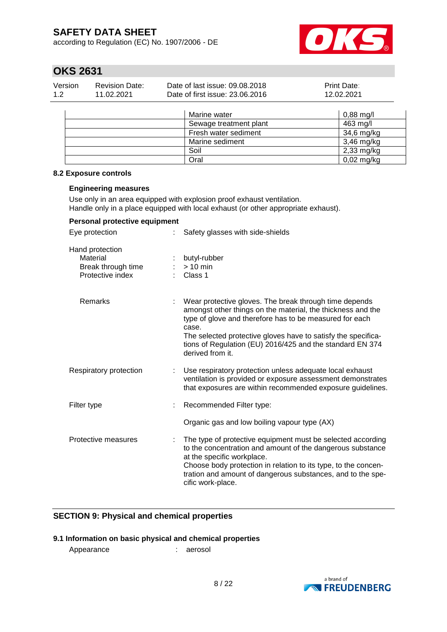according to Regulation (EC) No. 1907/2006 - DE



# **OKS 2631**

| Version | <b>Revision Date:</b> | Date of last issue: 09.08.2018  | <b>Print Date:</b> |
|---------|-----------------------|---------------------------------|--------------------|
| 1.2     | 11.02.2021            | Date of first issue: 23,06,2016 | 12.02.2021         |
|         |                       |                                 |                    |

| Marine water           | $0,88 \text{ mg/l}$ |
|------------------------|---------------------|
| Sewage treatment plant | 463 mg/l            |
| Fresh water sediment   | 34,6 mg/kg          |
| Marine sediment        | 3,46 mg/kg          |
| Soil                   | 2,33 mg/kg          |
| Oral                   | $0,02$ mg/kg        |

#### **8.2 Exposure controls**

### **Engineering measures**

Use only in an area equipped with explosion proof exhaust ventilation. Handle only in a place equipped with local exhaust (or other appropriate exhaust).

| Personal protective equipment                                         |                                                                                                                                                                                                                                                                                                                                             |  |  |  |  |
|-----------------------------------------------------------------------|---------------------------------------------------------------------------------------------------------------------------------------------------------------------------------------------------------------------------------------------------------------------------------------------------------------------------------------------|--|--|--|--|
| Eye protection                                                        | Safety glasses with side-shields                                                                                                                                                                                                                                                                                                            |  |  |  |  |
| Hand protection<br>Material<br>Break through time<br>Protective index | butyl-rubber<br>$> 10$ min<br>Class 1                                                                                                                                                                                                                                                                                                       |  |  |  |  |
| Remarks                                                               | Wear protective gloves. The break through time depends<br>amongst other things on the material, the thickness and the<br>type of glove and therefore has to be measured for each<br>case.<br>The selected protective gloves have to satisfy the specifica-<br>tions of Regulation (EU) 2016/425 and the standard EN 374<br>derived from it. |  |  |  |  |
| Respiratory protection                                                | Use respiratory protection unless adequate local exhaust<br>ventilation is provided or exposure assessment demonstrates<br>that exposures are within recommended exposure guidelines.                                                                                                                                                       |  |  |  |  |
| Filter type                                                           | Recommended Filter type:                                                                                                                                                                                                                                                                                                                    |  |  |  |  |
|                                                                       | Organic gas and low boiling vapour type (AX)                                                                                                                                                                                                                                                                                                |  |  |  |  |
| Protective measures                                                   | The type of protective equipment must be selected according<br>to the concentration and amount of the dangerous substance<br>at the specific workplace.<br>Choose body protection in relation to its type, to the concen-<br>tration and amount of dangerous substances, and to the spe-<br>cific work-place.                               |  |  |  |  |

## **SECTION 9: Physical and chemical properties**

## **9.1 Information on basic physical and chemical properties**

Appearance : aerosol

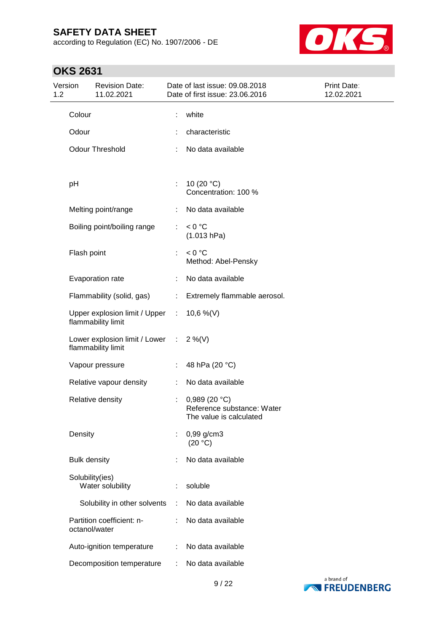according to Regulation (EC) No. 1907/2006 - DE



| Version<br>1.2 |                     | <b>Revision Date:</b><br>11.02.2021                   |                               | Date of last issue: 09.08.2018<br>Date of first issue: 23.06.2016      | Print Date:<br>12.02.2021 |
|----------------|---------------------|-------------------------------------------------------|-------------------------------|------------------------------------------------------------------------|---------------------------|
|                | Colour              |                                                       |                               | white                                                                  |                           |
|                | Odour               |                                                       |                               | characteristic                                                         |                           |
|                |                     | <b>Odour Threshold</b>                                | ÷                             | No data available                                                      |                           |
|                | pH                  |                                                       | ÷                             | 10 $(20 °C)$<br>Concentration: 100 %                                   |                           |
|                |                     | Melting point/range                                   |                               | No data available                                                      |                           |
|                |                     | Boiling point/boiling range                           | $\mathbb{Z}^{\times}$         | < 0 °C<br>(1.013 hPa)                                                  |                           |
|                | Flash point         |                                                       | ÷                             | < 0 °C<br>Method: Abel-Pensky                                          |                           |
|                |                     | Evaporation rate                                      | ÷                             | No data available                                                      |                           |
|                |                     | Flammability (solid, gas)                             |                               | : Extremely flammable aerosol.                                         |                           |
|                |                     | Upper explosion limit / Upper :<br>flammability limit |                               | 10,6 %(V)                                                              |                           |
|                |                     | Lower explosion limit / Lower :<br>flammability limit |                               | $2\%$ (V)                                                              |                           |
|                |                     | Vapour pressure                                       | $\mathcal{I}^{\mathcal{I}}$ . | 48 hPa (20 °C)                                                         |                           |
|                |                     | Relative vapour density                               | ÷                             | No data available                                                      |                           |
|                |                     | Relative density                                      |                               | 0,989 (20 °C)<br>Reference substance: Water<br>The value is calculated |                           |
|                | Density             |                                                       |                               | $0,99$ g/cm3<br>(20 °C)                                                |                           |
|                | <b>Bulk density</b> |                                                       |                               | No data available                                                      |                           |
|                | Solubility(ies)     | Water solubility                                      | ÷                             | soluble                                                                |                           |
|                |                     | Solubility in other solvents                          | ÷                             | No data available                                                      |                           |
|                | octanol/water       | Partition coefficient: n-                             |                               | No data available                                                      |                           |
|                |                     | Auto-ignition temperature                             | ÷                             | No data available                                                      |                           |
|                |                     | Decomposition temperature                             | ÷                             | No data available                                                      |                           |

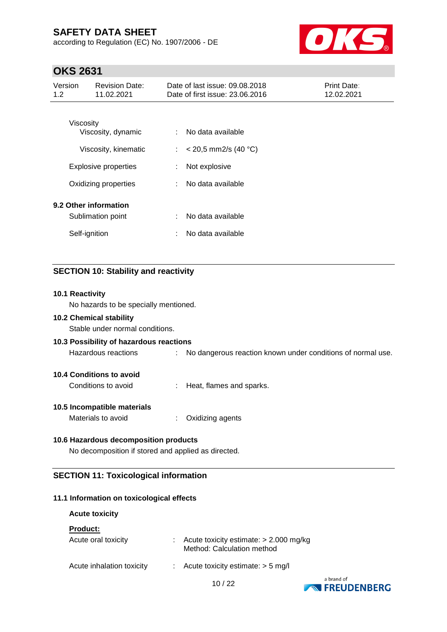according to Regulation (EC) No. 1907/2006 - DE



# **OKS 2631**

| Version<br>1.2 | <b>Revision Date:</b><br>11.02.2021                         |                           | Date of last issue: 09.08.2018<br>Date of first issue: 23.06.2016 | <b>Print Date:</b><br>12.02.2021 |
|----------------|-------------------------------------------------------------|---------------------------|-------------------------------------------------------------------|----------------------------------|
|                | Viscosity<br>Viscosity, dynamic                             | ÷.                        | No data available                                                 |                                  |
|                | Viscosity, kinematic                                        | $\mathbb{Z}^{\mathbb{Z}}$ | $<$ 20,5 mm2/s (40 °C)                                            |                                  |
|                | <b>Explosive properties</b>                                 | ÷                         | Not explosive                                                     |                                  |
|                | Oxidizing properties                                        | ÷                         | No data available                                                 |                                  |
|                | 9.2 Other information<br>Sublimation point<br>Self-ignition | ÷<br>÷                    | No data available<br>No data available                            |                                  |
|                |                                                             |                           |                                                                   |                                  |

## **SECTION 10: Stability and reactivity**

#### **10.1 Reactivity**

No hazards to be specially mentioned.

### **10.2 Chemical stability**

Stable under normal conditions.

### **10.3 Possibility of hazardous reactions**

Hazardous reactions : No dangerous reaction known under conditions of normal use.

## **10.4 Conditions to avoid**

Conditions to avoid : Heat, flames and sparks.

#### **10.5 Incompatible materials**

Materials to avoid : Oxidizing agents

## **10.6 Hazardous decomposition products**

No decomposition if stored and applied as directed.

### **SECTION 11: Toxicological information**

### **11.1 Information on toxicological effects**

#### **Acute toxicity**

#### **Product:**

| Acute oral toxicity       | Acute toxicity estimate: $> 2.000$ mg/kg<br>Method: Calculation method |
|---------------------------|------------------------------------------------------------------------|
| Acute inhalation toxicity | Acute toxicity estimate: $>$ 5 mg/l                                    |



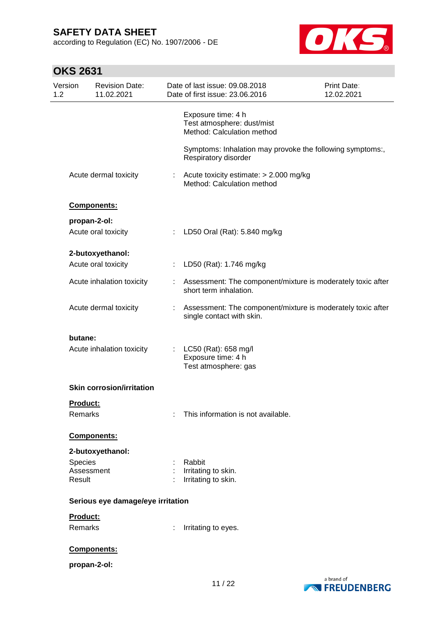according to Regulation (EC) No. 1907/2006 - DE



| Version<br>1.2  | <b>Revision Date:</b><br>11.02.2021 |                           | Date of last issue: 09.08.2018<br>Date of first issue: 23.06.2016                        | Print Date:<br>12.02.2021 |
|-----------------|-------------------------------------|---------------------------|------------------------------------------------------------------------------------------|---------------------------|
|                 |                                     |                           | Exposure time: 4 h<br>Test atmosphere: dust/mist<br>Method: Calculation method           |                           |
|                 |                                     |                           | Symptoms: Inhalation may provoke the following symptoms:,<br>Respiratory disorder        |                           |
|                 | Acute dermal toxicity               |                           | : Acute toxicity estimate: $> 2.000$ mg/kg<br>Method: Calculation method                 |                           |
|                 | Components:                         |                           |                                                                                          |                           |
|                 | propan-2-ol:                        |                           |                                                                                          |                           |
|                 | Acute oral toxicity                 | ÷.                        | LD50 Oral (Rat): 5.840 mg/kg                                                             |                           |
|                 | 2-butoxyethanol:                    |                           |                                                                                          |                           |
|                 | Acute oral toxicity                 |                           | LD50 (Rat): 1.746 mg/kg                                                                  |                           |
|                 | Acute inhalation toxicity           |                           | Assessment: The component/mixture is moderately toxic after<br>short term inhalation.    |                           |
|                 | Acute dermal toxicity               | $\mathbb{R}^{\mathbb{Z}}$ | Assessment: The component/mixture is moderately toxic after<br>single contact with skin. |                           |
| butane:         | Acute inhalation toxicity           | t.                        | LC50 (Rat): 658 mg/l<br>Exposure time: 4 h<br>Test atmosphere: gas                       |                           |
|                 | <b>Skin corrosion/irritation</b>    |                           |                                                                                          |                           |
| <b>Product:</b> |                                     |                           |                                                                                          |                           |
| Remarks         |                                     |                           | This information is not available.                                                       |                           |
|                 | Components:                         |                           |                                                                                          |                           |
|                 | 2-butoxyethanol:                    |                           |                                                                                          |                           |
| Species         |                                     |                           | Rabbit                                                                                   |                           |
| Result          | Assessment                          |                           | Irritating to skin.<br>Irritating to skin.                                               |                           |
|                 |                                     |                           |                                                                                          |                           |
|                 | Serious eye damage/eye irritation   |                           |                                                                                          |                           |
| Product:        |                                     |                           |                                                                                          |                           |
| <b>Remarks</b>  |                                     |                           | Irritating to eyes.                                                                      |                           |
|                 | Components:                         |                           |                                                                                          |                           |
|                 | propan-2-ol:                        |                           |                                                                                          |                           |
|                 |                                     |                           |                                                                                          |                           |

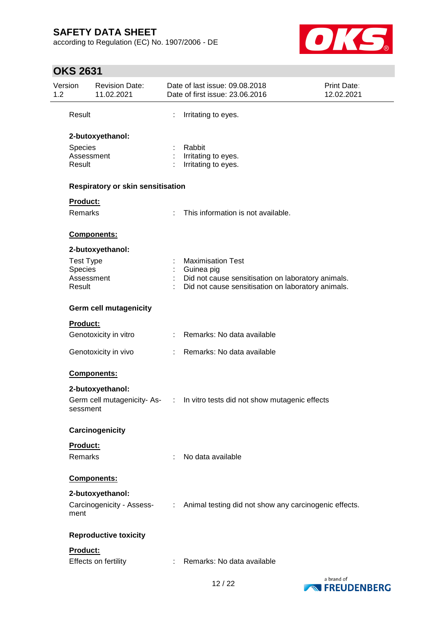according to Regulation (EC) No. 1907/2006 - DE



| Version<br>1.2    | <b>Revision Date:</b><br>11.02.2021      |   | Date of last issue: 09.08.2018<br>Date of first issue: 23.06.2016          | <b>Print Date:</b><br>12.02.2021 |
|-------------------|------------------------------------------|---|----------------------------------------------------------------------------|----------------------------------|
| Result            |                                          | ÷ | Irritating to eyes.                                                        |                                  |
|                   | 2-butoxyethanol:                         |   |                                                                            |                                  |
| Species<br>Result | Assessment                               |   | Rabbit<br>Irritating to eyes.<br>Irritating to eyes.                       |                                  |
|                   | <b>Respiratory or skin sensitisation</b> |   |                                                                            |                                  |
| Product:          |                                          |   |                                                                            |                                  |
| <b>Remarks</b>    |                                          |   | This information is not available.                                         |                                  |
|                   | Components:                              |   |                                                                            |                                  |
|                   | 2-butoxyethanol:                         |   |                                                                            |                                  |
|                   | <b>Test Type</b>                         |   | <b>Maximisation Test</b>                                                   |                                  |
| <b>Species</b>    | Assessment                               |   | : Guinea pig<br>Did not cause sensitisation on laboratory animals.         |                                  |
| Result            |                                          |   | Did not cause sensitisation on laboratory animals.                         |                                  |
|                   | <b>Germ cell mutagenicity</b>            |   |                                                                            |                                  |
| Product:          |                                          |   |                                                                            |                                  |
|                   | Genotoxicity in vitro                    |   | : Remarks: No data available                                               |                                  |
|                   | Genotoxicity in vivo                     |   | : Remarks: No data available                                               |                                  |
|                   | <b>Components:</b>                       |   |                                                                            |                                  |
|                   | 2-butoxyethanol:                         |   |                                                                            |                                  |
|                   | sessment                                 |   | Germ cell mutagenicity-As- : In vitro tests did not show mutagenic effects |                                  |
|                   | Carcinogenicity                          |   |                                                                            |                                  |
| Product:          |                                          |   |                                                                            |                                  |
| Remarks           |                                          |   | No data available                                                          |                                  |
|                   | Components:                              |   |                                                                            |                                  |
|                   | 2-butoxyethanol:                         |   |                                                                            |                                  |
| ment              | Carcinogenicity - Assess-                |   | : Animal testing did not show any carcinogenic effects.                    |                                  |
|                   | <b>Reproductive toxicity</b>             |   |                                                                            |                                  |
| Product:          |                                          |   |                                                                            |                                  |
|                   | Effects on fertility                     |   | : Remarks: No data available                                               |                                  |

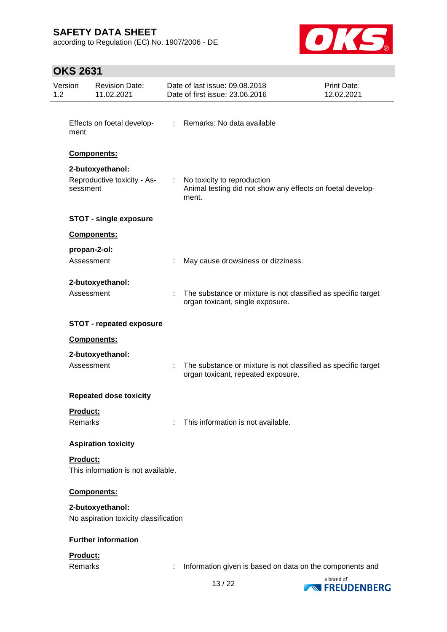according to Regulation (EC) No. 1907/2006 - DE



| Version<br>1.2 | <b>Revision Date:</b><br>11.02.2021                         |  | Date of last issue: 09.08.2018<br>Print Date:<br>Date of first issue: 23.06.2016<br>12.02.2021      |            |  |
|----------------|-------------------------------------------------------------|--|-----------------------------------------------------------------------------------------------------|------------|--|
|                |                                                             |  |                                                                                                     |            |  |
| ment           | Effects on foetal develop-                                  |  | : Remarks: No data available                                                                        |            |  |
|                | Components:                                                 |  |                                                                                                     |            |  |
|                | 2-butoxyethanol:<br>Reproductive toxicity - As-<br>sessment |  | No toxicity to reproduction<br>Animal testing did not show any effects on foetal develop-<br>ment.  |            |  |
|                | <b>STOT - single exposure</b>                               |  |                                                                                                     |            |  |
|                | Components:                                                 |  |                                                                                                     |            |  |
|                | propan-2-ol:<br>Assessment                                  |  | May cause drowsiness or dizziness.                                                                  |            |  |
|                | 2-butoxyethanol:                                            |  |                                                                                                     |            |  |
|                | Assessment                                                  |  | The substance or mixture is not classified as specific target<br>organ toxicant, single exposure.   |            |  |
|                | <b>STOT - repeated exposure</b>                             |  |                                                                                                     |            |  |
|                | Components:                                                 |  |                                                                                                     |            |  |
|                | 2-butoxyethanol:<br>Assessment                              |  | The substance or mixture is not classified as specific target<br>organ toxicant, repeated exposure. |            |  |
|                | <b>Repeated dose toxicity</b>                               |  |                                                                                                     |            |  |
|                | <b>Product:</b>                                             |  |                                                                                                     |            |  |
|                | Remarks                                                     |  | This information is not available.                                                                  |            |  |
|                | <b>Aspiration toxicity</b>                                  |  |                                                                                                     |            |  |
|                | <b>Product:</b><br>This information is not available.       |  |                                                                                                     |            |  |
|                | <b>Components:</b>                                          |  |                                                                                                     |            |  |
|                | 2-butoxyethanol:<br>No aspiration toxicity classification   |  |                                                                                                     |            |  |
|                | <b>Further information</b>                                  |  |                                                                                                     |            |  |
|                | Product:<br>Remarks                                         |  | Information given is based on data on the components and                                            |            |  |
|                |                                                             |  | 1010                                                                                                | a brand of |  |

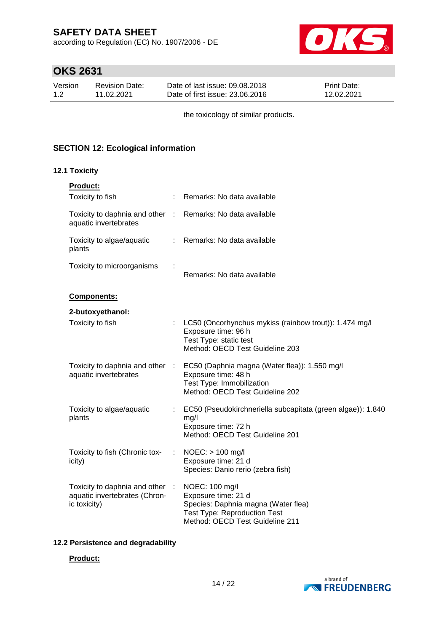according to Regulation (EC) No. 1907/2006 - DE



# **OKS 2631**

| Version | Revision Date: | Date of last issue: 09.08.2018  | <b>Print Date:</b> |
|---------|----------------|---------------------------------|--------------------|
| 1.2     | 11.02.2021     | Date of first issue: 23,06,2016 | 12.02.2021         |

the toxicology of similar products.

## **SECTION 12: Ecological information**

#### **12.1 Toxicity**

| <b>Product:</b>                                                                     |                                                                                                                                                        |
|-------------------------------------------------------------------------------------|--------------------------------------------------------------------------------------------------------------------------------------------------------|
| Toxicity to fish                                                                    | Remarks: No data available                                                                                                                             |
| Toxicity to daphnia and other : Remarks: No data available<br>aquatic invertebrates |                                                                                                                                                        |
| Toxicity to algae/aquatic<br>plants                                                 | : Remarks: No data available                                                                                                                           |
| Toxicity to microorganisms                                                          | Remarks: No data available                                                                                                                             |
| Components:                                                                         |                                                                                                                                                        |
| 2-butoxyethanol:                                                                    |                                                                                                                                                        |
| Toxicity to fish                                                                    | LC50 (Oncorhynchus mykiss (rainbow trout)): 1.474 mg/l<br>Exposure time: 96 h<br>Test Type: static test<br>Method: OECD Test Guideline 203             |
| Toxicity to daphnia and other :<br>aquatic invertebrates                            | EC50 (Daphnia magna (Water flea)): 1.550 mg/l<br>Exposure time: 48 h<br>Test Type: Immobilization<br>Method: OECD Test Guideline 202                   |
| Toxicity to algae/aquatic<br>plants                                                 | EC50 (Pseudokirchneriella subcapitata (green algae)): 1.840<br>mg/l<br>Exposure time: 72 h<br>Method: OECD Test Guideline 201                          |
| Toxicity to fish (Chronic tox-<br>icity)                                            | $NOEC:$ > 100 mg/l<br>Exposure time: 21 d<br>Species: Danio rerio (zebra fish)                                                                         |
| Toxicity to daphnia and other :<br>aquatic invertebrates (Chron-<br>ic toxicity)    | NOEC: 100 mg/l<br>Exposure time: 21 d<br>Species: Daphnia magna (Water flea)<br><b>Test Type: Reproduction Test</b><br>Method: OECD Test Guideline 211 |

### **12.2 Persistence and degradability**

### **Product:**

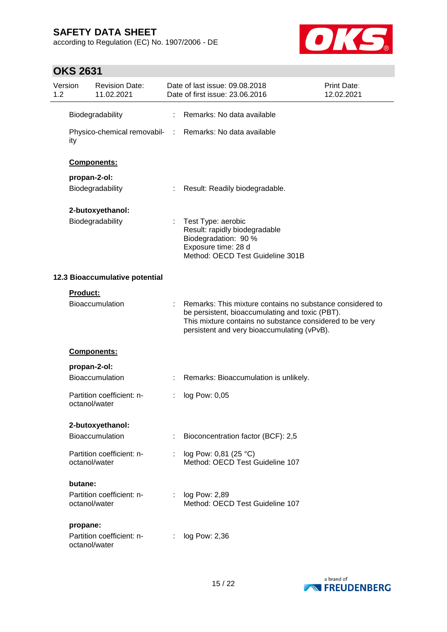according to Regulation (EC) No. 1907/2006 - DE



| Version<br>1.2 |                 | <b>Revision Date:</b><br>11.02.2021        |                | Date of last issue: 09.08.2018<br>Date of first issue: 23.06.2016                                                                                                                                                       | Print Date:<br>12.02.2021 |
|----------------|-----------------|--------------------------------------------|----------------|-------------------------------------------------------------------------------------------------------------------------------------------------------------------------------------------------------------------------|---------------------------|
|                |                 | Biodegradability                           |                | Remarks: No data available                                                                                                                                                                                              |                           |
|                | ity             | Physico-chemical removabil- :              |                | Remarks: No data available                                                                                                                                                                                              |                           |
|                |                 | Components:                                |                |                                                                                                                                                                                                                         |                           |
|                |                 | propan-2-ol:                               |                |                                                                                                                                                                                                                         |                           |
|                |                 | Biodegradability                           |                | Result: Readily biodegradable.                                                                                                                                                                                          |                           |
|                |                 | 2-butoxyethanol:                           |                |                                                                                                                                                                                                                         |                           |
|                |                 | Biodegradability                           | t              | Test Type: aerobic<br>Result: rapidly biodegradable<br>Biodegradation: 90 %<br>Exposure time: 28 d<br>Method: OECD Test Guideline 301B                                                                                  |                           |
|                |                 | 12.3 Bioaccumulative potential             |                |                                                                                                                                                                                                                         |                           |
|                | <b>Product:</b> |                                            |                |                                                                                                                                                                                                                         |                           |
|                |                 | Bioaccumulation                            |                | Remarks: This mixture contains no substance considered to<br>be persistent, bioaccumulating and toxic (PBT).<br>This mixture contains no substance considered to be very<br>persistent and very bioaccumulating (vPvB). |                           |
|                |                 | Components:                                |                |                                                                                                                                                                                                                         |                           |
|                |                 | propan-2-ol:                               |                |                                                                                                                                                                                                                         |                           |
|                |                 | Bioaccumulation                            |                | Remarks: Bioaccumulation is unlikely.                                                                                                                                                                                   |                           |
|                |                 | Partition coefficient: n-<br>octanol/water |                | log Pow: 0,05                                                                                                                                                                                                           |                           |
|                |                 | 2-butoxyethanol:                           |                |                                                                                                                                                                                                                         |                           |
|                |                 | Bioaccumulation                            | ÷              | Bioconcentration factor (BCF): 2,5                                                                                                                                                                                      |                           |
|                |                 |                                            |                |                                                                                                                                                                                                                         |                           |
|                |                 | Partition coefficient: n-<br>octanol/water |                | log Pow: 0,81 (25 °C)<br>Method: OECD Test Guideline 107                                                                                                                                                                |                           |
|                | butane:         |                                            |                |                                                                                                                                                                                                                         |                           |
|                |                 | Partition coefficient: n-<br>octanol/water | $\mathbb{R}^n$ | log Pow: 2,89<br>Method: OECD Test Guideline 107                                                                                                                                                                        |                           |
|                | propane:        |                                            |                |                                                                                                                                                                                                                         |                           |
|                |                 | Partition coefficient: n-<br>octanol/water | ÷              | log Pow: 2,36                                                                                                                                                                                                           |                           |

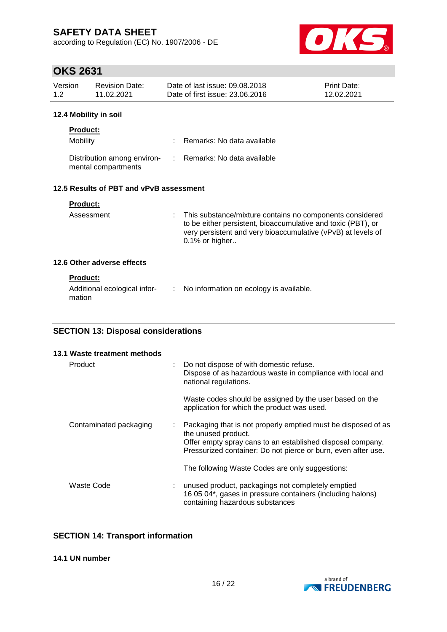according to Regulation (EC) No. 1907/2006 - DE



# **OKS 2631**

| Version | Revision Date: | Date of last issue: 09.08.2018  | <b>Print Date:</b> |
|---------|----------------|---------------------------------|--------------------|
| 1.2     | 11.02.2021     | Date of first issue: 23.06.2016 | 12.02.2021         |
|         |                |                                 |                    |

### **12.4 Mobility in soil**

| <b>Product:</b>                                    |                              |
|----------------------------------------------------|------------------------------|
| Mobility                                           | : Remarks: No data available |
| Distribution among environ-<br>mental compartments | : Remarks: No data available |

## **12.5 Results of PBT and vPvB assessment**

| Assessment                 | : This substance/mixture contains no components considered<br>to be either persistent, bioaccumulative and toxic (PBT), or<br>very persistent and very bioaccumulative (vPvB) at levels of<br>$0.1\%$ or higher |
|----------------------------|-----------------------------------------------------------------------------------------------------------------------------------------------------------------------------------------------------------------|
| 12.6 Other adverse effects |                                                                                                                                                                                                                 |

### **Product:**

| Additional ecological infor-<br>mation | $\therefore$ No information on ecology is available. |
|----------------------------------------|------------------------------------------------------|
|----------------------------------------|------------------------------------------------------|

## **SECTION 13: Disposal considerations**

| 13.1 Waste treatment methods |                                                                                                                                                                                                                     |
|------------------------------|---------------------------------------------------------------------------------------------------------------------------------------------------------------------------------------------------------------------|
| Product                      | Do not dispose of with domestic refuse.<br>Dispose of as hazardous waste in compliance with local and<br>national regulations.                                                                                      |
|                              | Waste codes should be assigned by the user based on the<br>application for which the product was used.                                                                                                              |
| Contaminated packaging       | Packaging that is not properly emptied must be disposed of as<br>the unused product.<br>Offer empty spray cans to an established disposal company.<br>Pressurized container: Do not pierce or burn, even after use. |
|                              | The following Waste Codes are only suggestions:                                                                                                                                                                     |
| Waste Code                   | unused product, packagings not completely emptied<br>16 05 04*, gases in pressure containers (including halons)<br>containing hazardous substances                                                                  |

## **SECTION 14: Transport information**

**14.1 UN number**

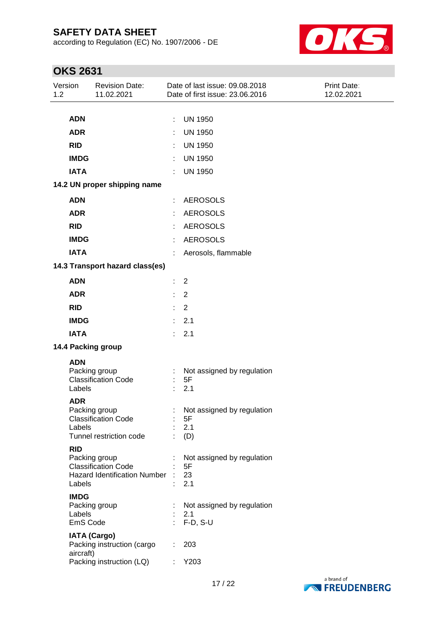according to Regulation (EC) No. 1907/2006 - DE



| Version<br>1.2 |             | <b>Revision Date:</b><br>11.02.2021               |    | Date of last issue: 09.08.2018<br>Date of first issue: 23.06.2016 | Print Date:<br>12.02.2021 |
|----------------|-------------|---------------------------------------------------|----|-------------------------------------------------------------------|---------------------------|
|                |             |                                                   |    |                                                                   |                           |
|                | <b>ADN</b>  |                                                   | ÷  | <b>UN 1950</b>                                                    |                           |
|                | <b>ADR</b>  |                                                   |    | <b>UN 1950</b>                                                    |                           |
|                | <b>RID</b>  |                                                   |    | <b>UN 1950</b>                                                    |                           |
|                | <b>IMDG</b> |                                                   |    | <b>UN 1950</b>                                                    |                           |
|                | <b>IATA</b> |                                                   |    | <b>UN 1950</b>                                                    |                           |
|                |             | 14.2 UN proper shipping name                      |    |                                                                   |                           |
|                | <b>ADN</b>  |                                                   | ÷. | <b>AEROSOLS</b>                                                   |                           |
|                | <b>ADR</b>  |                                                   |    | <b>AEROSOLS</b>                                                   |                           |
|                | <b>RID</b>  |                                                   |    | <b>AEROSOLS</b>                                                   |                           |
|                | <b>IMDG</b> |                                                   |    | <b>AEROSOLS</b>                                                   |                           |
|                | <b>IATA</b> |                                                   |    | Aerosols, flammable                                               |                           |
|                |             | 14.3 Transport hazard class(es)                   |    |                                                                   |                           |
|                | <b>ADN</b>  |                                                   | ÷. | 2                                                                 |                           |
|                | <b>ADR</b>  |                                                   |    | $\overline{2}$                                                    |                           |
|                | <b>RID</b>  |                                                   | ÷. | 2                                                                 |                           |
|                | <b>IMDG</b> |                                                   | ÷. | 2.1                                                               |                           |
|                | <b>IATA</b> |                                                   | ÷. | 2.1                                                               |                           |
|                |             | 14.4 Packing group                                |    |                                                                   |                           |
|                | <b>ADN</b>  |                                                   |    |                                                                   |                           |
|                |             | Packing group                                     |    | Not assigned by regulation                                        |                           |
|                | Labels      | <b>Classification Code</b>                        |    | 5F<br>2.1                                                         |                           |
|                | <b>ADR</b>  |                                                   |    |                                                                   |                           |
|                |             | Packing group                                     |    | Not assigned by regulation                                        |                           |
|                | Labels      | <b>Classification Code</b>                        |    | 5F<br>2.1                                                         |                           |
|                |             | Tunnel restriction code                           |    | (D)                                                               |                           |
|                | <b>RID</b>  |                                                   |    |                                                                   |                           |
|                |             | Packing group<br><b>Classification Code</b>       |    | Not assigned by regulation<br>5F                                  |                           |
|                |             | <b>Hazard Identification Number</b>               |    | 23                                                                |                           |
|                | Labels      |                                                   |    | 2.1                                                               |                           |
|                | <b>IMDG</b> | Packing group                                     |    | Not assigned by regulation                                        |                           |
|                | Labels      |                                                   |    | 2.1                                                               |                           |
|                | EmS Code    |                                                   | ×, | $F-D, S-U$                                                        |                           |
|                |             | <b>IATA (Cargo)</b><br>Packing instruction (cargo |    | 203                                                               |                           |
|                | aircraft)   |                                                   |    |                                                                   |                           |
|                |             | Packing instruction (LQ)                          | t. | Y203                                                              |                           |

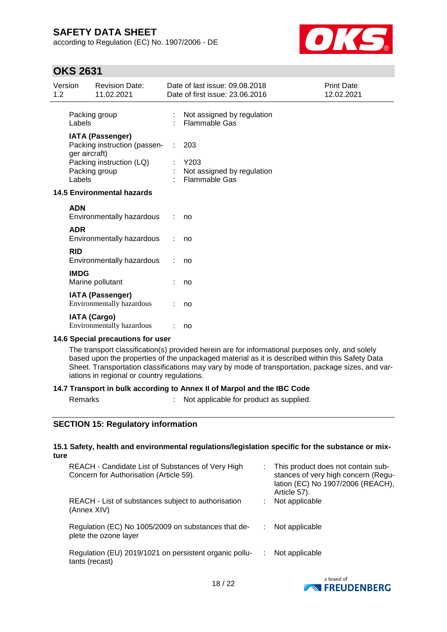according to Regulation (EC) No. 1907/2006 - DE



## **OKS 2631**

| Version<br>1.2 |               | <b>Revision Date:</b><br>11.02.2021                     |    | Date of last issue: 09.08.2018<br>Date of first issue: 23.06.2016 | Print Date:<br>12.02.2021 |
|----------------|---------------|---------------------------------------------------------|----|-------------------------------------------------------------------|---------------------------|
|                | Labels        | Packing group                                           |    | Not assigned by regulation<br><b>Flammable Gas</b>                |                           |
|                | ger aircraft) | <b>IATA (Passenger)</b><br>Packing instruction (passen- | ÷  | 203                                                               |                           |
|                | Labels        | Packing instruction (LQ)<br>Packing group               |    | Y203<br>Not assigned by regulation<br><b>Flammable Gas</b>        |                           |
|                |               | <b>14.5 Environmental hazards</b>                       |    |                                                                   |                           |
|                | <b>ADN</b>    | Environmentally hazardous                               | ÷. | no                                                                |                           |
|                | <b>ADR</b>    | Environmentally hazardous                               |    | no                                                                |                           |
|                | <b>RID</b>    | Environmentally hazardous                               |    | no                                                                |                           |
|                | <b>IMDG</b>   | Marine pollutant                                        |    | no                                                                |                           |
|                |               | <b>IATA (Passenger)</b><br>Environmentally hazardous    |    | no                                                                |                           |
|                |               | <b>IATA (Cargo)</b><br>Environmentally hazardous        |    | no                                                                |                           |

#### **14.6 Special precautions for user**

The transport classification(s) provided herein are for informational purposes only, and solely based upon the properties of the unpackaged material as it is described within this Safety Data Sheet. Transportation classifications may vary by mode of transportation, package sizes, and variations in regional or country regulations.

#### **14.7 Transport in bulk according to Annex II of Marpol and the IBC Code**

Remarks : Not applicable for product as supplied.

### **SECTION 15: Regulatory information**

#### **15.1 Safety, health and environmental regulations/legislation specific for the substance or mixture**

| REACH - Candidate List of Substances of Very High<br>Concern for Authorisation (Article 59). | This product does not contain sub-<br>stances of very high concern (Regu-<br>lation (EC) No 1907/2006 (REACH),<br>Article 57). |
|----------------------------------------------------------------------------------------------|--------------------------------------------------------------------------------------------------------------------------------|
| REACH - List of substances subject to authorisation<br>(Annex XIV)                           | Not applicable                                                                                                                 |
| Regulation (EC) No 1005/2009 on substances that de-<br>plete the ozone layer                 | Not applicable                                                                                                                 |
| Regulation (EU) 2019/1021 on persistent organic pollu-<br>tants (recast)                     | Not applicable                                                                                                                 |
|                                                                                              |                                                                                                                                |

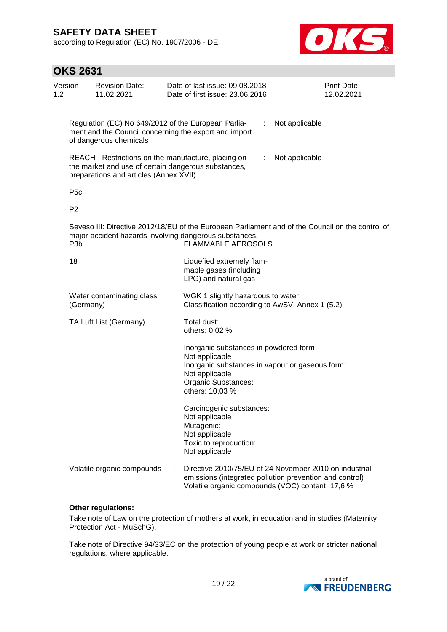according to Regulation (EC) No. 1907/2006 - DE



| <b>OKS 2631</b>  |                                                                                                                                                      |    |                                                                                                                                                                                         |                |                                  |
|------------------|------------------------------------------------------------------------------------------------------------------------------------------------------|----|-----------------------------------------------------------------------------------------------------------------------------------------------------------------------------------------|----------------|----------------------------------|
| Version<br>1.2   | <b>Revision Date:</b><br>11.02.2021                                                                                                                  |    | Date of last issue: 09.08.2018<br>Date of first issue: 23.06.2016                                                                                                                       |                | <b>Print Date:</b><br>12.02.2021 |
|                  | Regulation (EC) No 649/2012 of the European Parlia-<br>ment and the Council concerning the export and import<br>of dangerous chemicals               |    |                                                                                                                                                                                         | Not applicable |                                  |
|                  | REACH - Restrictions on the manufacture, placing on<br>the market and use of certain dangerous substances,<br>preparations and articles (Annex XVII) |    |                                                                                                                                                                                         | Not applicable |                                  |
| P <sub>5</sub> c |                                                                                                                                                      |    |                                                                                                                                                                                         |                |                                  |
| P <sub>2</sub>   |                                                                                                                                                      |    |                                                                                                                                                                                         |                |                                  |
| P <sub>3</sub> b |                                                                                                                                                      |    | Seveso III: Directive 2012/18/EU of the European Parliament and of the Council on the control of<br>major-accident hazards involving dangerous substances.<br><b>FLAMMABLE AEROSOLS</b> |                |                                  |
| 18               |                                                                                                                                                      |    | Liquefied extremely flam-<br>mable gases (including<br>LPG) and natural gas                                                                                                             |                |                                  |
|                  | Water contaminating class<br>(Germany)                                                                                                               | t. | WGK 1 slightly hazardous to water<br>Classification according to AwSV, Annex 1 (5.2)                                                                                                    |                |                                  |
|                  | TA Luft List (Germany)                                                                                                                               |    | Total dust:<br>others: 0,02 %                                                                                                                                                           |                |                                  |
|                  |                                                                                                                                                      |    | Inorganic substances in powdered form:<br>Not applicable<br>Inorganic substances in vapour or gaseous form:<br>Not applicable<br>Organic Substances:<br>others: 10,03 %                 |                |                                  |
|                  |                                                                                                                                                      |    | Carcinogenic substances:<br>Not applicable<br>Mutagenic:<br>Not applicable<br>Toxic to reproduction:<br>Not applicable                                                                  |                |                                  |
|                  | Volatile organic compounds                                                                                                                           |    | Directive 2010/75/EU of 24 November 2010 on industrial<br>emissions (integrated pollution prevention and control)<br>Volatile organic compounds (VOC) content: 17,6 %                   |                |                                  |

#### **Other regulations:**

Take note of Law on the protection of mothers at work, in education and in studies (Maternity Protection Act - MuSchG).

Take note of Directive 94/33/EC on the protection of young people at work or stricter national regulations, where applicable.

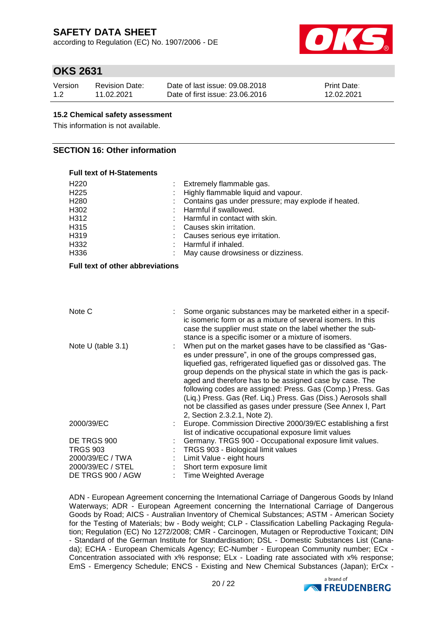according to Regulation (EC) No. 1907/2006 - DE



## **OKS 2631**

| Version | Revision Date: | Date of last issue: 09.08.2018  | Print Date: |
|---------|----------------|---------------------------------|-------------|
| 1.2     | 11.02.2021     | Date of first issue: 23,06,2016 | 12.02.2021  |

#### **15.2 Chemical safety assessment**

This information is not available.

### **SECTION 16: Other information**

#### **Full text of H-Statements**

| H <sub>220</sub><br>H <sub>225</sub><br>H <sub>280</sub><br>H302<br>H312<br>H315<br>H319<br>H332 | Extremely flammable gas.<br>Highly flammable liquid and vapour.<br>Contains gas under pressure; may explode if heated.<br>Harmful if swallowed.<br>Harmful in contact with skin.<br>Causes skin irritation.<br>Causes serious eye irritation.<br>Harmful if inhaled.                                                                                                                                                                                                                                                                                     |
|--------------------------------------------------------------------------------------------------|----------------------------------------------------------------------------------------------------------------------------------------------------------------------------------------------------------------------------------------------------------------------------------------------------------------------------------------------------------------------------------------------------------------------------------------------------------------------------------------------------------------------------------------------------------|
| H336                                                                                             | May cause drowsiness or dizziness.                                                                                                                                                                                                                                                                                                                                                                                                                                                                                                                       |
| Full text of other abbreviations                                                                 |                                                                                                                                                                                                                                                                                                                                                                                                                                                                                                                                                          |
| Note C                                                                                           | Some organic substances may be marketed either in a specif-<br>ic isomeric form or as a mixture of several isomers. In this<br>case the supplier must state on the label whether the sub-<br>stance is a specific isomer or a mixture of isomers.                                                                                                                                                                                                                                                                                                        |
| Note U (table 3.1)                                                                               | When put on the market gases have to be classified as "Gas-<br>es under pressure", in one of the groups compressed gas,<br>liquefied gas, refrigerated liquefied gas or dissolved gas. The<br>group depends on the physical state in which the gas is pack-<br>aged and therefore has to be assigned case by case. The<br>following codes are assigned: Press. Gas (Comp.) Press. Gas<br>(Liq.) Press. Gas (Ref. Liq.) Press. Gas (Diss.) Aerosols shall<br>not be classified as gases under pressure (See Annex I, Part<br>2, Section 2.3.2.1, Note 2). |
| 2000/39/EC                                                                                       | Europe. Commission Directive 2000/39/EC establishing a first<br>list of indicative occupational exposure limit values                                                                                                                                                                                                                                                                                                                                                                                                                                    |
| DE TRGS 900                                                                                      | Germany. TRGS 900 - Occupational exposure limit values.                                                                                                                                                                                                                                                                                                                                                                                                                                                                                                  |
| <b>TRGS 903</b>                                                                                  | TRGS 903 - Biological limit values                                                                                                                                                                                                                                                                                                                                                                                                                                                                                                                       |
| 2000/39/EC / TWA                                                                                 | Limit Value - eight hours                                                                                                                                                                                                                                                                                                                                                                                                                                                                                                                                |
| 2000/39/EC / STEL                                                                                | Short term exposure limit                                                                                                                                                                                                                                                                                                                                                                                                                                                                                                                                |
| DE TRGS 900 / AGW                                                                                | <b>Time Weighted Average</b>                                                                                                                                                                                                                                                                                                                                                                                                                                                                                                                             |

ADN - European Agreement concerning the International Carriage of Dangerous Goods by Inland Waterways; ADR - European Agreement concerning the International Carriage of Dangerous Goods by Road; AICS - Australian Inventory of Chemical Substances; ASTM - American Society for the Testing of Materials; bw - Body weight; CLP - Classification Labelling Packaging Regulation; Regulation (EC) No 1272/2008; CMR - Carcinogen, Mutagen or Reproductive Toxicant; DIN - Standard of the German Institute for Standardisation; DSL - Domestic Substances List (Canada); ECHA - European Chemicals Agency; EC-Number - European Community number; ECx - Concentration associated with x% response; ELx - Loading rate associated with x% response; EmS - Emergency Schedule; ENCS - Existing and New Chemical Substances (Japan); ErCx -

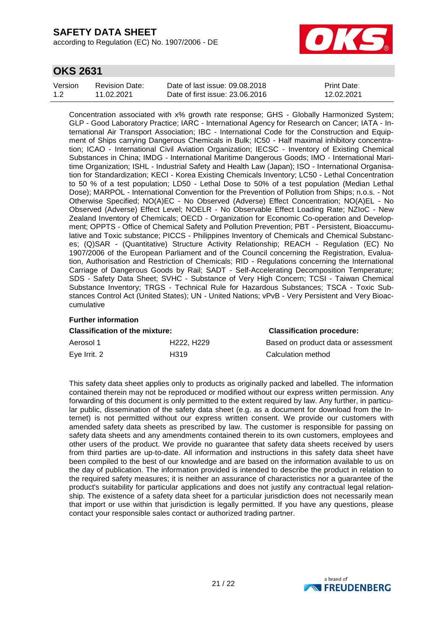according to Regulation (EC) No. 1907/2006 - DE



## **OKS 2631**

| Version | <b>Revision Date:</b> | Date of last issue: 09.08.2018  | <b>Print Date:</b> |
|---------|-----------------------|---------------------------------|--------------------|
| 1.2     | 11.02.2021            | Date of first issue: 23,06,2016 | 12.02.2021         |

Concentration associated with x% growth rate response; GHS - Globally Harmonized System; GLP - Good Laboratory Practice; IARC - International Agency for Research on Cancer; IATA - International Air Transport Association; IBC - International Code for the Construction and Equipment of Ships carrying Dangerous Chemicals in Bulk; IC50 - Half maximal inhibitory concentration; ICAO - International Civil Aviation Organization; IECSC - Inventory of Existing Chemical Substances in China; IMDG - International Maritime Dangerous Goods; IMO - International Maritime Organization; ISHL - Industrial Safety and Health Law (Japan); ISO - International Organisation for Standardization; KECI - Korea Existing Chemicals Inventory; LC50 - Lethal Concentration to 50 % of a test population; LD50 - Lethal Dose to 50% of a test population (Median Lethal Dose); MARPOL - International Convention for the Prevention of Pollution from Ships; n.o.s. - Not Otherwise Specified; NO(A)EC - No Observed (Adverse) Effect Concentration; NO(A)EL - No Observed (Adverse) Effect Level; NOELR - No Observable Effect Loading Rate; NZIoC - New Zealand Inventory of Chemicals; OECD - Organization for Economic Co-operation and Development; OPPTS - Office of Chemical Safety and Pollution Prevention; PBT - Persistent, Bioaccumulative and Toxic substance; PICCS - Philippines Inventory of Chemicals and Chemical Substances; (Q)SAR - (Quantitative) Structure Activity Relationship; REACH - Regulation (EC) No 1907/2006 of the European Parliament and of the Council concerning the Registration, Evaluation, Authorisation and Restriction of Chemicals; RID - Regulations concerning the International Carriage of Dangerous Goods by Rail; SADT - Self-Accelerating Decomposition Temperature; SDS - Safety Data Sheet; SVHC - Substance of Very High Concern; TCSI - Taiwan Chemical Substance Inventory; TRGS - Technical Rule for Hazardous Substances; TSCA - Toxic Substances Control Act (United States); UN - United Nations; vPvB - Very Persistent and Very Bioaccumulative

## **Further information**

| <b>Classification of the mixture:</b> |                                     | <b>Classification procedure:</b>    |
|---------------------------------------|-------------------------------------|-------------------------------------|
| Aerosol 1                             | H <sub>222</sub> . H <sub>229</sub> | Based on product data or assessment |
| Eye Irrit. 2                          | H319                                | Calculation method                  |

This safety data sheet applies only to products as originally packed and labelled. The information contained therein may not be reproduced or modified without our express written permission. Any forwarding of this document is only permitted to the extent required by law. Any further, in particular public, dissemination of the safety data sheet (e.g. as a document for download from the Internet) is not permitted without our express written consent. We provide our customers with amended safety data sheets as prescribed by law. The customer is responsible for passing on safety data sheets and any amendments contained therein to its own customers, employees and other users of the product. We provide no guarantee that safety data sheets received by users from third parties are up-to-date. All information and instructions in this safety data sheet have been compiled to the best of our knowledge and are based on the information available to us on the day of publication. The information provided is intended to describe the product in relation to the required safety measures; it is neither an assurance of characteristics nor a guarantee of the product's suitability for particular applications and does not justify any contractual legal relationship. The existence of a safety data sheet for a particular jurisdiction does not necessarily mean that import or use within that jurisdiction is legally permitted. If you have any questions, please contact your responsible sales contact or authorized trading partner.